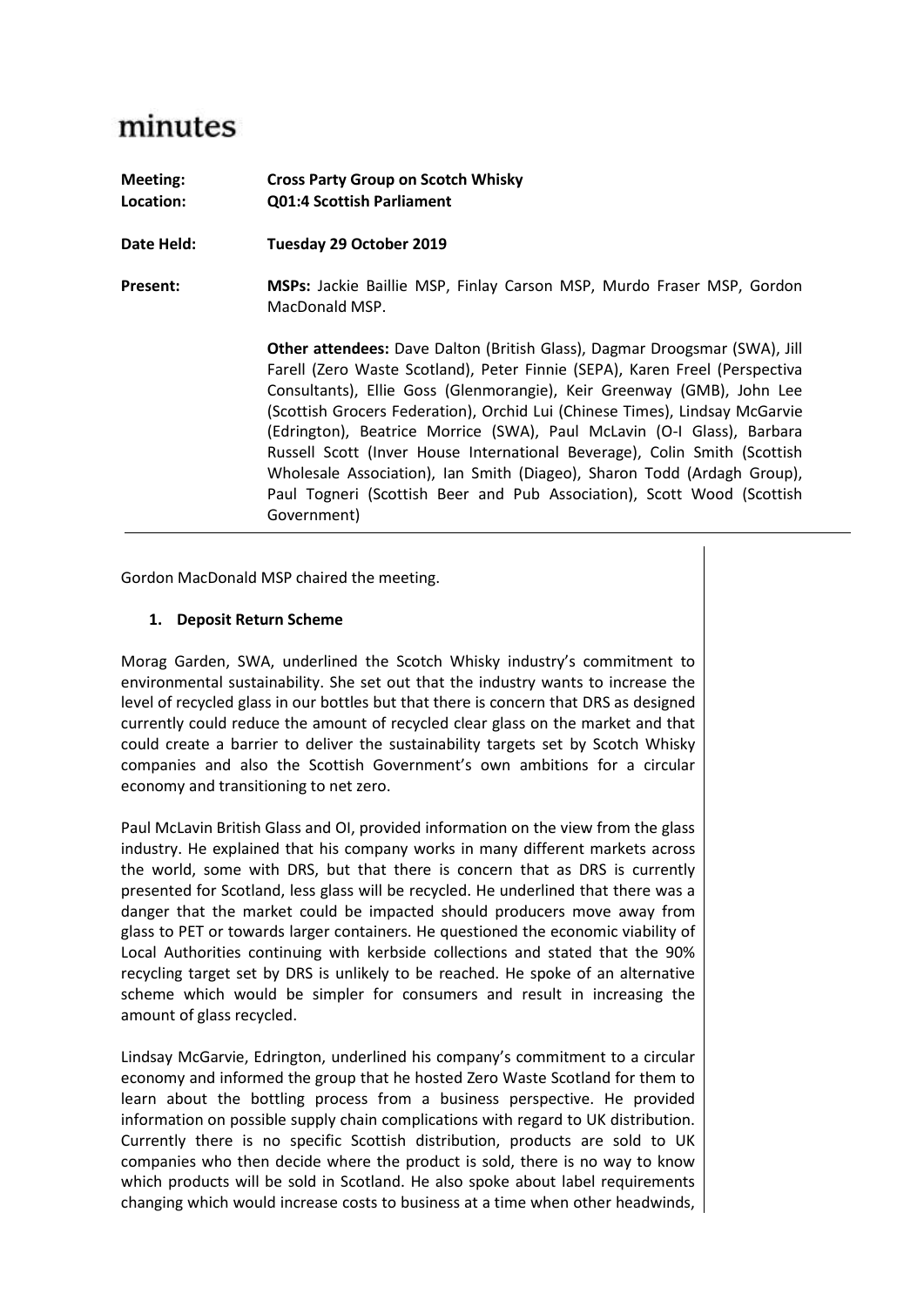## minutes

| Meeting:<br>Location: | <b>Cross Party Group on Scotch Whisky</b><br><b>Q01:4 Scottish Parliament</b>                                                                                                                                                                                                                                                                                                                                                                                                                                                                                                                                                                        |
|-----------------------|------------------------------------------------------------------------------------------------------------------------------------------------------------------------------------------------------------------------------------------------------------------------------------------------------------------------------------------------------------------------------------------------------------------------------------------------------------------------------------------------------------------------------------------------------------------------------------------------------------------------------------------------------|
| Date Held:            | Tuesday 29 October 2019                                                                                                                                                                                                                                                                                                                                                                                                                                                                                                                                                                                                                              |
| <b>Present:</b>       | MSPs: Jackie Baillie MSP, Finlay Carson MSP, Murdo Fraser MSP, Gordon<br>MacDonald MSP.                                                                                                                                                                                                                                                                                                                                                                                                                                                                                                                                                              |
|                       | <b>Other attendees:</b> Dave Dalton (British Glass), Dagmar Droogsmar (SWA), Jill<br>Farell (Zero Waste Scotland), Peter Finnie (SEPA), Karen Freel (Perspectiva<br>Consultants), Ellie Goss (Glenmorangie), Keir Greenway (GMB), John Lee<br>(Scottish Grocers Federation), Orchid Lui (Chinese Times), Lindsay McGarvie<br>(Edrington), Beatrice Morrice (SWA), Paul McLavin (O-I Glass), Barbara<br>Russell Scott (Inver House International Beverage), Colin Smith (Scottish<br>Wholesale Association), Ian Smith (Diageo), Sharon Todd (Ardagh Group),<br>Paul Togneri (Scottish Beer and Pub Association), Scott Wood (Scottish<br>Government) |

Gordon MacDonald MSP chaired the meeting.

## **1. Deposit Return Scheme**

Morag Garden, SWA, underlined the Scotch Whisky industry's commitment to environmental sustainability. She set out that the industry wants to increase the level of recycled glass in our bottles but that there is concern that DRS as designed currently could reduce the amount of recycled clear glass on the market and that could create a barrier to deliver the sustainability targets set by Scotch Whisky companies and also the Scottish Government's own ambitions for a circular economy and transitioning to net zero.

Paul McLavin British Glass and OI, provided information on the view from the glass industry. He explained that his company works in many different markets across the world, some with DRS, but that there is concern that as DRS is currently presented for Scotland, less glass will be recycled. He underlined that there was a danger that the market could be impacted should producers move away from glass to PET or towards larger containers. He questioned the economic viability of Local Authorities continuing with kerbside collections and stated that the 90% recycling target set by DRS is unlikely to be reached. He spoke of an alternative scheme which would be simpler for consumers and result in increasing the amount of glass recycled.

Lindsay McGarvie, Edrington, underlined his company's commitment to a circular economy and informed the group that he hosted Zero Waste Scotland for them to learn about the bottling process from a business perspective. He provided information on possible supply chain complications with regard to UK distribution. Currently there is no specific Scottish distribution, products are sold to UK companies who then decide where the product is sold, there is no way to know which products will be sold in Scotland. He also spoke about label requirements changing which would increase costs to business at a time when other headwinds,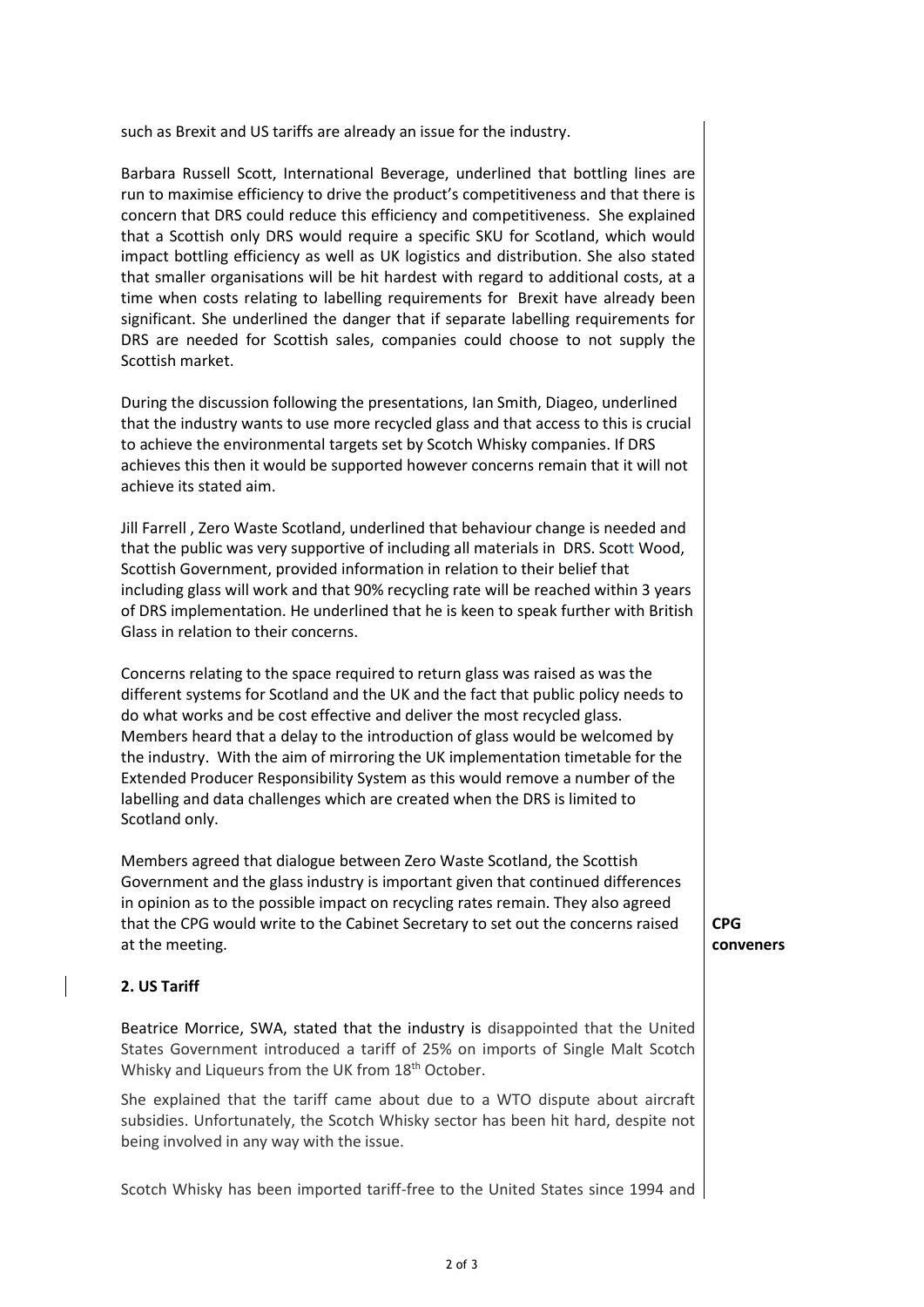such as Brexit and US tariffs are already an issue for the industry.

Barbara Russell Scott, International Beverage, underlined that bottling lines are run to maximise efficiency to drive the product's competitiveness and that there is concern that DRS could reduce this efficiency and competitiveness. She explained that a Scottish only DRS would require a specific SKU for Scotland, which would impact bottling efficiency as well as UK logistics and distribution. She also stated that smaller organisations will be hit hardest with regard to additional costs, at a time when costs relating to labelling requirements for Brexit have already been significant. She underlined the danger that if separate labelling requirements for DRS are needed for Scottish sales, companies could choose to not supply the Scottish market.

During the discussion following the presentations, Ian Smith, Diageo, underlined that the industry wants to use more recycled glass and that access to this is crucial to achieve the environmental targets set by Scotch Whisky companies. If DRS achieves this then it would be supported however concerns remain that it will not achieve its stated aim.

Jill Farrell , Zero Waste Scotland, underlined that behaviour change is needed and that the public was very supportive of including all materials in DRS. Scott Wood, Scottish Government, provided information in relation to their belief that including glass will work and that 90% recycling rate will be reached within 3 years of DRS implementation. He underlined that he is keen to speak further with British Glass in relation to their concerns.

Concerns relating to the space required to return glass was raised as was the different systems for Scotland and the UK and the fact that public policy needs to do what works and be cost effective and deliver the most recycled glass. Members heard that a delay to the introduction of glass would be welcomed by the industry. With the aim of mirroring the UK implementation timetable for the Extended Producer Responsibility System as this would remove a number of the labelling and data challenges which are created when the DRS is limited to Scotland only.

Members agreed that dialogue between Zero Waste Scotland, the Scottish Government and the glass industry is important given that continued differences in opinion as to the possible impact on recycling rates remain. They also agreed that the CPG would write to the Cabinet Secretary to set out the concerns raised at the meeting.

## **2. US Tariff**

Beatrice Morrice, SWA, stated that the industry is disappointed that the United States Government introduced a tariff of 25% on imports of Single Malt Scotch Whisky and Liqueurs from the UK from 18<sup>th</sup> October.

She explained that the tariff came about due to a WTO dispute about aircraft subsidies. Unfortunately, the Scotch Whisky sector has been hit hard, despite not being involved in any way with the issue.

Scotch Whisky has been imported tariff-free to the United States since 1994 and

**CPG conveners**